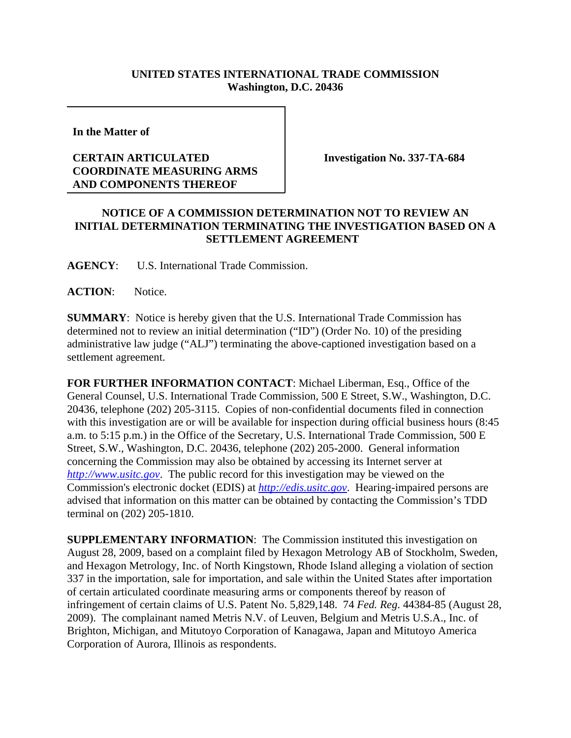## **UNITED STATES INTERNATIONAL TRADE COMMISSION Washington, D.C. 20436**

**In the Matter of** 

## **CERTAIN ARTICULATED COORDINATE MEASURING ARMS AND COMPONENTS THEREOF**

**Investigation No. 337-TA-684**

## **NOTICE OF A COMMISSION DETERMINATION NOT TO REVIEW AN INITIAL DETERMINATION TERMINATING THE INVESTIGATION BASED ON A SETTLEMENT AGREEMENT**

**AGENCY**: U.S. International Trade Commission.

ACTION: Notice.

**SUMMARY**: Notice is hereby given that the U.S. International Trade Commission has determined not to review an initial determination ("ID") (Order No. 10) of the presiding administrative law judge ("ALJ") terminating the above-captioned investigation based on a settlement agreement.

**FOR FURTHER INFORMATION CONTACT**: Michael Liberman, Esq., Office of the General Counsel, U.S. International Trade Commission, 500 E Street, S.W., Washington, D.C. 20436, telephone (202) 205-3115. Copies of non-confidential documents filed in connection with this investigation are or will be available for inspection during official business hours (8:45 a.m. to 5:15 p.m.) in the Office of the Secretary, U.S. International Trade Commission, 500 E Street, S.W., Washington, D.C. 20436, telephone (202) 205-2000. General information concerning the Commission may also be obtained by accessing its Internet server at *http://www.usitc.gov*. The public record for this investigation may be viewed on the Commission's electronic docket (EDIS) at *http://edis.usitc.gov*. Hearing-impaired persons are advised that information on this matter can be obtained by contacting the Commission's TDD terminal on (202) 205-1810.

**SUPPLEMENTARY INFORMATION**: The Commission instituted this investigation on August 28, 2009, based on a complaint filed by Hexagon Metrology AB of Stockholm, Sweden, and Hexagon Metrology, Inc. of North Kingstown, Rhode Island alleging a violation of section 337 in the importation, sale for importation, and sale within the United States after importation of certain articulated coordinate measuring arms or components thereof by reason of infringement of certain claims of U.S. Patent No. 5,829,148. 74 *Fed. Reg*. 44384-85 (August 28, 2009). The complainant named Metris N.V. of Leuven, Belgium and Metris U.S.A., Inc. of Brighton, Michigan, and Mitutoyo Corporation of Kanagawa, Japan and Mitutoyo America Corporation of Aurora, Illinois as respondents.